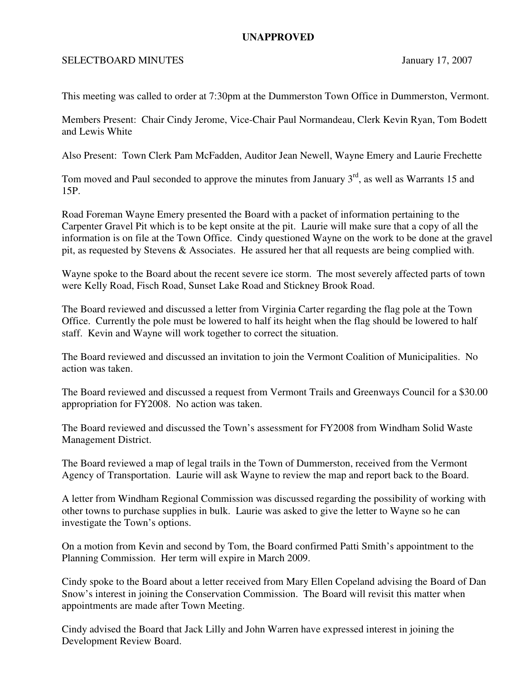## **UNAPPROVED**

## SELECTBOARD MINUTES January 17, 2007

This meeting was called to order at 7:30pm at the Dummerston Town Office in Dummerston, Vermont.

Members Present: Chair Cindy Jerome, Vice-Chair Paul Normandeau, Clerk Kevin Ryan, Tom Bodett and Lewis White

Also Present: Town Clerk Pam McFadden, Auditor Jean Newell, Wayne Emery and Laurie Frechette

Tom moved and Paul seconded to approve the minutes from January  $3<sup>rd</sup>$ , as well as Warrants 15 and 15P.

Road Foreman Wayne Emery presented the Board with a packet of information pertaining to the Carpenter Gravel Pit which is to be kept onsite at the pit. Laurie will make sure that a copy of all the information is on file at the Town Office. Cindy questioned Wayne on the work to be done at the gravel pit, as requested by Stevens & Associates. He assured her that all requests are being complied with.

Wayne spoke to the Board about the recent severe ice storm. The most severely affected parts of town were Kelly Road, Fisch Road, Sunset Lake Road and Stickney Brook Road.

The Board reviewed and discussed a letter from Virginia Carter regarding the flag pole at the Town Office. Currently the pole must be lowered to half its height when the flag should be lowered to half staff. Kevin and Wayne will work together to correct the situation.

The Board reviewed and discussed an invitation to join the Vermont Coalition of Municipalities. No action was taken.

The Board reviewed and discussed a request from Vermont Trails and Greenways Council for a \$30.00 appropriation for FY2008. No action was taken.

The Board reviewed and discussed the Town's assessment for FY2008 from Windham Solid Waste Management District.

The Board reviewed a map of legal trails in the Town of Dummerston, received from the Vermont Agency of Transportation. Laurie will ask Wayne to review the map and report back to the Board.

A letter from Windham Regional Commission was discussed regarding the possibility of working with other towns to purchase supplies in bulk. Laurie was asked to give the letter to Wayne so he can investigate the Town's options.

On a motion from Kevin and second by Tom, the Board confirmed Patti Smith's appointment to the Planning Commission. Her term will expire in March 2009.

Cindy spoke to the Board about a letter received from Mary Ellen Copeland advising the Board of Dan Snow's interest in joining the Conservation Commission. The Board will revisit this matter when appointments are made after Town Meeting.

Cindy advised the Board that Jack Lilly and John Warren have expressed interest in joining the Development Review Board.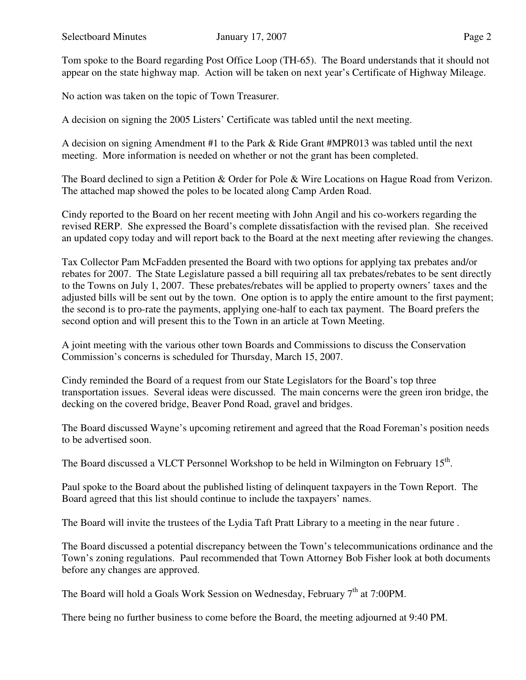Tom spoke to the Board regarding Post Office Loop (TH-65). The Board understands that it should not appear on the state highway map. Action will be taken on next year's Certificate of Highway Mileage.

No action was taken on the topic of Town Treasurer.

A decision on signing the 2005 Listers' Certificate was tabled until the next meeting.

A decision on signing Amendment #1 to the Park & Ride Grant #MPR013 was tabled until the next meeting. More information is needed on whether or not the grant has been completed.

The Board declined to sign a Petition & Order for Pole & Wire Locations on Hague Road from Verizon. The attached map showed the poles to be located along Camp Arden Road.

Cindy reported to the Board on her recent meeting with John Angil and his co-workers regarding the revised RERP. She expressed the Board's complete dissatisfaction with the revised plan. She received an updated copy today and will report back to the Board at the next meeting after reviewing the changes.

Tax Collector Pam McFadden presented the Board with two options for applying tax prebates and/or rebates for 2007. The State Legislature passed a bill requiring all tax prebates/rebates to be sent directly to the Towns on July 1, 2007. These prebates/rebates will be applied to property owners' taxes and the adjusted bills will be sent out by the town. One option is to apply the entire amount to the first payment; the second is to pro-rate the payments, applying one-half to each tax payment. The Board prefers the second option and will present this to the Town in an article at Town Meeting.

A joint meeting with the various other town Boards and Commissions to discuss the Conservation Commission's concerns is scheduled for Thursday, March 15, 2007.

Cindy reminded the Board of a request from our State Legislators for the Board's top three transportation issues. Several ideas were discussed. The main concerns were the green iron bridge, the decking on the covered bridge, Beaver Pond Road, gravel and bridges.

The Board discussed Wayne's upcoming retirement and agreed that the Road Foreman's position needs to be advertised soon.

The Board discussed a VLCT Personnel Workshop to be held in Wilmington on February  $15<sup>th</sup>$ .

Paul spoke to the Board about the published listing of delinquent taxpayers in the Town Report. The Board agreed that this list should continue to include the taxpayers' names.

The Board will invite the trustees of the Lydia Taft Pratt Library to a meeting in the near future .

The Board discussed a potential discrepancy between the Town's telecommunications ordinance and the Town's zoning regulations. Paul recommended that Town Attorney Bob Fisher look at both documents before any changes are approved.

The Board will hold a Goals Work Session on Wednesday, February  $7<sup>th</sup>$  at 7:00PM.

There being no further business to come before the Board, the meeting adjourned at 9:40 PM.